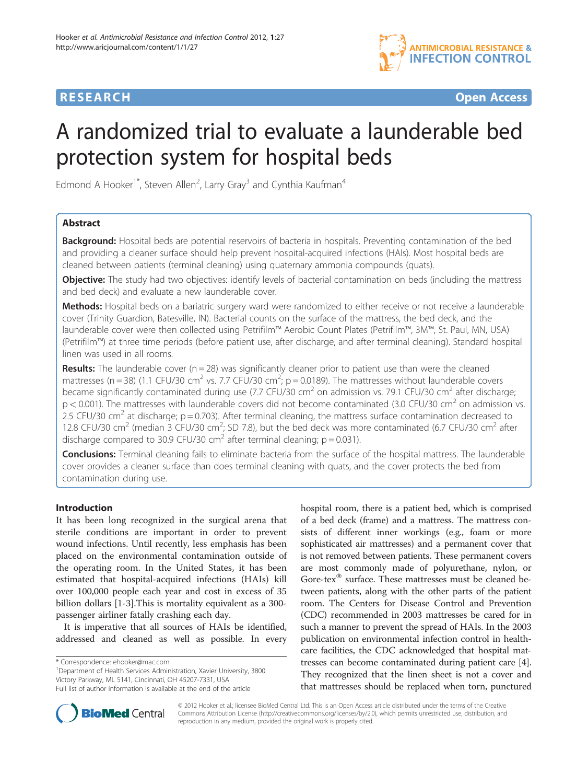## **ANTIMICROBIAL RESISTANCE & INFECTION CONTROL**



# A randomized trial to evaluate a launderable bed protection system for hospital beds

Edmond A Hooker<sup>1\*</sup>, Steven Allen<sup>2</sup>, Larry Gray<sup>3</sup> and Cynthia Kaufman<sup>4</sup>

## Abstract

Background: Hospital beds are potential reservoirs of bacteria in hospitals. Preventing contamination of the bed and providing a cleaner surface should help prevent hospital-acquired infections (HAIs). Most hospital beds are cleaned between patients (terminal cleaning) using quaternary ammonia compounds (quats).

**Objective:** The study had two objectives: identify levels of bacterial contamination on beds (including the mattress and bed deck) and evaluate a new launderable cover.

Methods: Hospital beds on a bariatric surgery ward were randomized to either receive or not receive a launderable cover (Trinity Guardion, Batesville, IN). Bacterial counts on the surface of the mattress, the bed deck, and the launderable cover were then collected using Petrifilm™ Aerobic Count Plates (Petrifilm™, 3M™, St. Paul, MN, USA) (Petrifilm™) at three time periods (before patient use, after discharge, and after terminal cleaning). Standard hospital linen was used in all rooms.

**Results:** The launderable cover ( $n = 28$ ) was significantly cleaner prior to patient use than were the cleaned mattresses (n = 38) (1.1 CFU/30 cm<sup>2</sup> vs. 7.7 CFU/30 cm<sup>2</sup>; p = 0.0189). The mattresses without launderable covers became significantly contaminated during use (7.7 CFU/30 cm<sup>2</sup> on admission vs. 79.1 CFU/30 cm<sup>2</sup> after discharge;  $p < 0.001$ ). The mattresses with launderable covers did not become contaminated (3.0 CFU/30 cm<sup>2</sup> on admission vs. 2.5 CFU/30 cm<sup>2</sup> at discharge; p = 0.703). After terminal cleaning, the mattress surface contamination decreased to 12.8 CFU/30 cm<sup>2</sup> (median 3 CFU/30 cm<sup>2</sup>; SD 7.8), but the bed deck was more contaminated (6.7 CFU/30 cm<sup>2</sup> after discharge compared to 30.9 CFU/30 cm<sup>2</sup> after terminal cleaning;  $p = 0.031$ ).

**Conclusions:** Terminal cleaning fails to eliminate bacteria from the surface of the hospital mattress. The launderable cover provides a cleaner surface than does terminal cleaning with quats, and the cover protects the bed from contamination during use.

### Introduction

It has been long recognized in the surgical arena that sterile conditions are important in order to prevent wound infections. Until recently, less emphasis has been placed on the environmental contamination outside of the operating room. In the United States, it has been estimated that hospital-acquired infections (HAIs) kill over 100,000 people each year and cost in excess of 35 billion dollars [\[1-3](#page-5-0)].This is mortality equivalent as a 300 passenger airliner fatally crashing each day.

It is imperative that all sources of HAIs be identified, addressed and cleaned as well as possible. In every

\* Correspondence: [ehooker@mac.com](mailto:ehooker@mac.com) <sup>1</sup>

<sup>1</sup>Department of Health Services Administration, Xavier University, 3800 Victory Parkway, ML 5141, Cincinnati, OH 45207-7331, USA

hospital room, there is a patient bed, which is comprised of a bed deck (frame) and a mattress. The mattress consists of different inner workings (e.g., foam or more sophisticated air mattresses) and a permanent cover that is not removed between patients. These permanent covers are most commonly made of polyurethane, nylon, or Gore-tex<sup>®</sup> surface. These mattresses must be cleaned between patients, along with the other parts of the patient room. The Centers for Disease Control and Prevention (CDC) recommended in 2003 mattresses be cared for in such a manner to prevent the spread of HAIs. In the 2003 publication on environmental infection control in healthcare facilities, the CDC acknowledged that hospital mattresses can become contaminated during patient care [[4](#page-5-0)]. They recognized that the linen sheet is not a cover and that mattresses should be replaced when torn, punctured



© 2012 Hooker et al.; licensee BioMed Central Ltd. This is an Open Access article distributed under the terms of the Creative Commons Attribution License [\(http://creativecommons.org/licenses/by/2.0\)](http://creativecommons.org/licenses/by/2.0), which permits unrestricted use, distribution, and reproduction in any medium, provided the original work is properly cited.

Full list of author information is available at the end of the article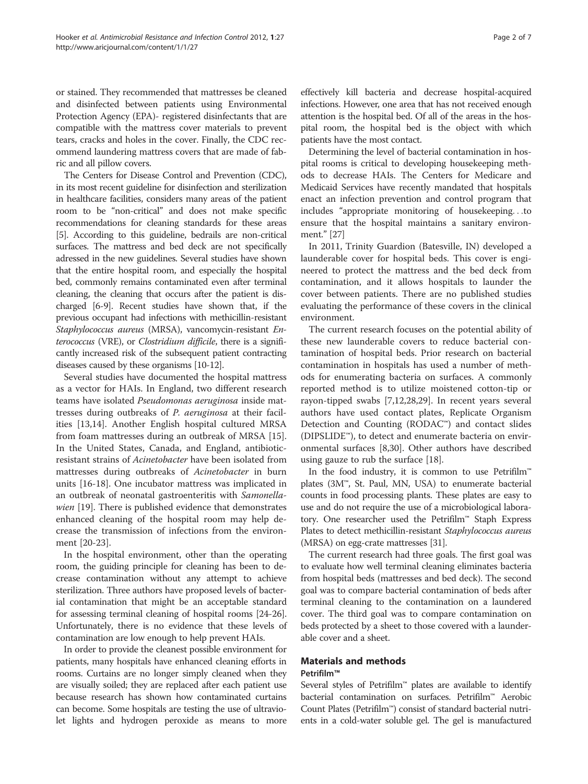or stained. They recommended that mattresses be cleaned and disinfected between patients using Environmental Protection Agency (EPA)- registered disinfectants that are compatible with the mattress cover materials to prevent tears, cracks and holes in the cover. Finally, the CDC recommend laundering mattress covers that are made of fabric and all pillow covers.

The Centers for Disease Control and Prevention (CDC), in its most recent guideline for disinfection and sterilization in healthcare facilities, considers many areas of the patient room to be "non-critical" and does not make specific recommendations for cleaning standards for these areas [[5](#page-5-0)]. According to this guideline, bedrails are non-critical surfaces. The mattress and bed deck are not specifically adressed in the new guidelines. Several studies have shown that the entire hospital room, and especially the hospital bed, commonly remains contaminated even after terminal cleaning, the cleaning that occurs after the patient is discharged [[6-9\]](#page-5-0). Recent studies have shown that, if the previous occupant had infections with methicillin-resistant Staphylococcus aureus (MRSA), vancomycin-resistant Enterococcus (VRE), or Clostridium difficile, there is a significantly increased risk of the subsequent patient contracting diseases caused by these organisms [[10-12\]](#page-5-0).

Several studies have documented the hospital mattress as a vector for HAIs. In England, two different research teams have isolated Pseudomonas aeruginosa inside mattresses during outbreaks of P. aeruginosa at their facilities [\[13,14](#page-5-0)]. Another English hospital cultured MRSA from foam mattresses during an outbreak of MRSA [\[15](#page-5-0)]. In the United States, Canada, and England, antibioticresistant strains of Acinetobacter have been isolated from mattresses during outbreaks of Acinetobacter in burn units [[16-18\]](#page-5-0). One incubator mattress was implicated in an outbreak of neonatal gastroenteritis with Samonella-wien [[19](#page-5-0)]. There is published evidence that demonstrates enhanced cleaning of the hospital room may help decrease the transmission of infections from the environment [[20-23](#page-6-0)].

In the hospital environment, other than the operating room, the guiding principle for cleaning has been to decrease contamination without any attempt to achieve sterilization. Three authors have proposed levels of bacterial contamination that might be an acceptable standard for assessing terminal cleaning of hospital rooms [[24](#page-6-0)-[26](#page-6-0)]. Unfortunately, there is no evidence that these levels of contamination are low enough to help prevent HAIs.

In order to provide the cleanest possible environment for patients, many hospitals have enhanced cleaning efforts in rooms. Curtains are no longer simply cleaned when they are visually soiled; they are replaced after each patient use because research has shown how contaminated curtains can become. Some hospitals are testing the use of ultraviolet lights and hydrogen peroxide as means to more effectively kill bacteria and decrease hospital-acquired infections. However, one area that has not received enough attention is the hospital bed. Of all of the areas in the hospital room, the hospital bed is the object with which patients have the most contact.

Determining the level of bacterial contamination in hospital rooms is critical to developing housekeeping methods to decrease HAIs. The Centers for Medicare and Medicaid Services have recently mandated that hospitals enact an infection prevention and control program that includes "appropriate monitoring of housekeeping...to ensure that the hospital maintains a sanitary environment." [[27](#page-6-0)]

In 2011, Trinity Guardion (Batesville, IN) developed a launderable cover for hospital beds. This cover is engineered to protect the mattress and the bed deck from contamination, and it allows hospitals to launder the cover between patients. There are no published studies evaluating the performance of these covers in the clinical environment.

The current research focuses on the potential ability of these new launderable covers to reduce bacterial contamination of hospital beds. Prior research on bacterial contamination in hospitals has used a number of methods for enumerating bacteria on surfaces. A commonly reported method is to utilize moistened cotton-tip or rayon-tipped swabs [[7,12,](#page-5-0)[28,29](#page-6-0)]. In recent years several authors have used contact plates, Replicate Organism Detection and Counting (RODAC™) and contact slides (DIPSLIDE™), to detect and enumerate bacteria on environmental surfaces [\[8](#page-5-0),[30](#page-6-0)]. Other authors have described using gauze to rub the surface [[18](#page-5-0)].

In the food industry, it is common to use Petrifilm™ plates (3M™, St. Paul, MN, USA) to enumerate bacterial counts in food processing plants. These plates are easy to use and do not require the use of a microbiological laboratory. One researcher used the Petrifilm™ Staph Express Plates to detect methicillin-resistant Staphylococcus aureus (MRSA) on egg-crate mattresses [[31](#page-6-0)].

The current research had three goals. The first goal was to evaluate how well terminal cleaning eliminates bacteria from hospital beds (mattresses and bed deck). The second goal was to compare bacterial contamination of beds after terminal cleaning to the contamination on a laundered cover. The third goal was to compare contamination on beds protected by a sheet to those covered with a launderable cover and a sheet.

#### Materials and methods Petrifilm™

Several styles of Petrifilm™ plates are available to identify bacterial contamination on surfaces. Petrifilm™ Aerobic Count Plates (Petrifilm™) consist of standard bacterial nutrients in a cold-water soluble gel. The gel is manufactured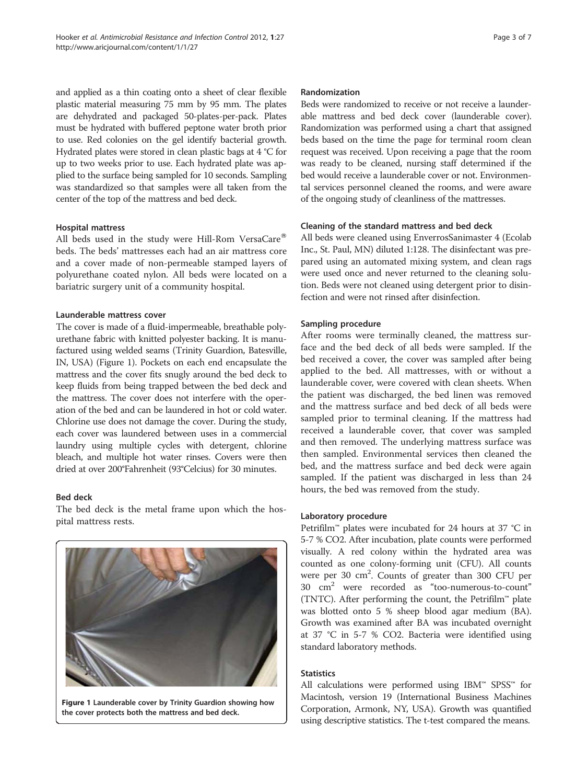and applied as a thin coating onto a sheet of clear flexible plastic material measuring 75 mm by 95 mm. The plates are dehydrated and packaged 50-plates-per-pack. Plates must be hydrated with buffered peptone water broth prior to use. Red colonies on the gel identify bacterial growth. Hydrated plates were stored in clean plastic bags at 4 °C for up to two weeks prior to use. Each hydrated plate was applied to the surface being sampled for 10 seconds. Sampling was standardized so that samples were all taken from the center of the top of the mattress and bed deck.

#### Hospital mattress

All beds used in the study were Hill-Rom VersaCare<sup>®</sup> beds. The beds' mattresses each had an air mattress core and a cover made of non-permeable stamped layers of polyurethane coated nylon. All beds were located on a bariatric surgery unit of a community hospital.

#### Launderable mattress cover

The cover is made of a fluid-impermeable, breathable polyurethane fabric with knitted polyester backing. It is manufactured using welded seams (Trinity Guardion, Batesville, IN, USA) (Figure 1). Pockets on each end encapsulate the mattress and the cover fits snugly around the bed deck to keep fluids from being trapped between the bed deck and the mattress. The cover does not interfere with the operation of the bed and can be laundered in hot or cold water. Chlorine use does not damage the cover. During the study, each cover was laundered between uses in a commercial laundry using multiple cycles with detergent, chlorine bleach, and multiple hot water rinses. Covers were then dried at over 200°Fahrenheit (93°Celcius) for 30 minutes.

#### Bed deck

The bed deck is the metal frame upon which the hospital mattress rests.

Figure 1 Launderable cover by Trinity Guardion showing how the cover protects both the mattress and bed deck.

#### Randomization

Beds were randomized to receive or not receive a launderable mattress and bed deck cover (launderable cover). Randomization was performed using a chart that assigned beds based on the time the page for terminal room clean request was received. Upon receiving a page that the room was ready to be cleaned, nursing staff determined if the bed would receive a launderable cover or not. Environmental services personnel cleaned the rooms, and were aware of the ongoing study of cleanliness of the mattresses.

#### Cleaning of the standard mattress and bed deck

All beds were cleaned using EnverrosSanimaster 4 (Ecolab Inc., St. Paul, MN) diluted 1:128. The disinfectant was prepared using an automated mixing system, and clean rags were used once and never returned to the cleaning solution. Beds were not cleaned using detergent prior to disinfection and were not rinsed after disinfection.

#### Sampling procedure

After rooms were terminally cleaned, the mattress surface and the bed deck of all beds were sampled. If the bed received a cover, the cover was sampled after being applied to the bed. All mattresses, with or without a launderable cover, were covered with clean sheets. When the patient was discharged, the bed linen was removed and the mattress surface and bed deck of all beds were sampled prior to terminal cleaning. If the mattress had received a launderable cover, that cover was sampled and then removed. The underlying mattress surface was then sampled. Environmental services then cleaned the bed, and the mattress surface and bed deck were again sampled. If the patient was discharged in less than 24 hours, the bed was removed from the study.

#### Laboratory procedure

Petrifilm™ plates were incubated for 24 hours at 37 °C in 5-7 % CO2. After incubation, plate counts were performed visually. A red colony within the hydrated area was counted as one colony-forming unit (CFU). All counts were per 30 cm<sup>2</sup>. Counts of greater than 300 CFU per 30 cm2 were recorded as "too-numerous-to-count" (TNTC). After performing the count, the Petrifilm™ plate was blotted onto 5 % sheep blood agar medium (BA). Growth was examined after BA was incubated overnight at 37 °C in 5-7 % CO2. Bacteria were identified using standard laboratory methods.

#### **Statistics**

All calculations were performed using IBM™ SPSS™ for Macintosh, version 19 (International Business Machines Corporation, Armonk, NY, USA). Growth was quantified using descriptive statistics. The t-test compared the means.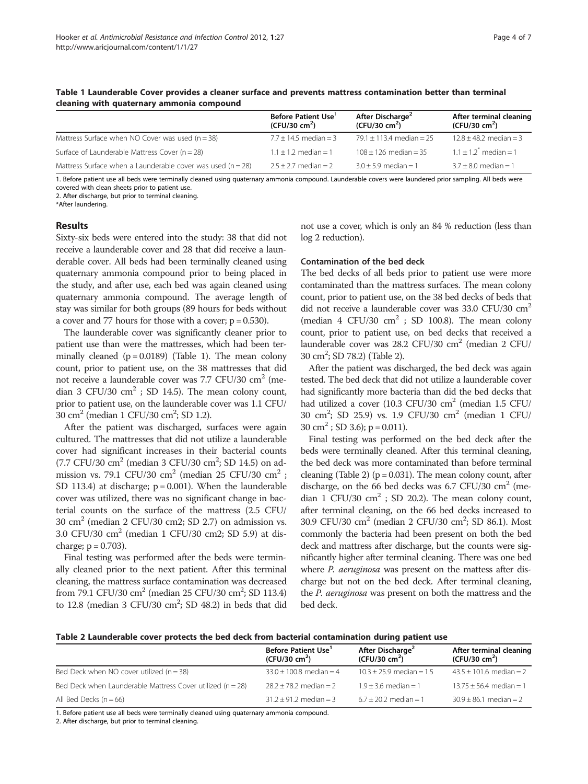|                                                               | Before Patient Use<br>(CFU/30 cm <sup>2</sup> ) | After Discharge <sup>2</sup><br>$(CFU/30 \text{ cm}^2)$ | After terminal cleaning<br>(CFU/30 cm <sup>2</sup> ) |  |
|---------------------------------------------------------------|-------------------------------------------------|---------------------------------------------------------|------------------------------------------------------|--|
| Mattress Surface when NO Cover was used $(n = 38)$            | $7.7 + 14.5$ median = 3                         | $79.1 + 113.4$ median = 25                              | $12.8 \pm 48.2$ median = 3                           |  |
| Surface of Launderable Mattress Cover $(n = 28)$              | $1.1 + 1.2$ median = 1                          | $108 + 126$ median = 35                                 | $1.1 + 1.2^{*}$ median = 1                           |  |
| Mattress Surface when a Launderable cover was used $(n = 28)$ | $2.5 \pm 2.7$ median = 2                        | $3.0 \pm 5.9$ median = 1                                | $3.7 + 8.0$ median = 1                               |  |

<span id="page-3-0"></span>Table 1 Launderable Cover provides a cleaner surface and prevents mattress contamination better than terminal cleaning with quaternary ammonia compound

1. Before patient use all beds were terminally cleaned using quaternary ammonia compound. Launderable covers were laundered prior sampling. All beds were covered with clean sheets prior to patient use.

2. After discharge, but prior to terminal cleaning.

\*After laundering.

#### Results

Sixty-six beds were entered into the study: 38 that did not receive a launderable cover and 28 that did receive a launderable cover. All beds had been terminally cleaned using quaternary ammonia compound prior to being placed in the study, and after use, each bed was again cleaned using quaternary ammonia compound. The average length of stay was similar for both groups (89 hours for beds without a cover and 77 hours for those with a cover;  $p = 0.530$ ).

The launderable cover was significantly cleaner prior to patient use than were the mattresses, which had been terminally cleaned  $(p = 0.0189)$  (Table 1). The mean colony count, prior to patient use, on the 38 mattresses that did not receive a launderable cover was 7.7 CFU/30 cm<sup>2</sup> (median 3 CFU/30  $\text{cm}^2$ ; SD 14.5). The mean colony count, prior to patient use, on the launderable cover was 1.1 CFU/  $30 \text{ cm}^2 \text{ (median 1 CFU/30 cm}^2; SD 1.2).$ 

After the patient was discharged, surfaces were again cultured. The mattresses that did not utilize a launderable cover had significant increases in their bacterial counts (7.7 CFU/30 cm<sup>2</sup> (median 3 CFU/30 cm<sup>2</sup>; SD 14.5) on admission vs. 79.1 CFU/30  $\text{cm}^2$  (median 25 CFU/30  $\text{cm}^2$ ); SD 113.4) at discharge;  $p = 0.001$ ). When the launderable cover was utilized, there was no significant change in bacterial counts on the surface of the mattress (2.5 CFU/ 30 cm2 (median 2 CFU/30 cm2; SD 2.7) on admission vs. 3.0 CFU/30 cm2 (median 1 CFU/30 cm2; SD 5.9) at discharge;  $p = 0.703$ ).

Final testing was performed after the beds were terminally cleaned prior to the next patient. After this terminal cleaning, the mattress surface contamination was decreased from 79.1 CFU/30 cm<sup>2</sup> (median 25 CFU/30 cm<sup>2</sup>; SD 113.4) to  $12.8$  (median  $3$  CFU/ $30$  cm<sup>2</sup>; SD  $48.2$ ) in beds that did

not use a cover, which is only an 84 % reduction (less than log 2 reduction).

#### Contamination of the bed deck

The bed decks of all beds prior to patient use were more contaminated than the mattress surfaces. The mean colony count, prior to patient use, on the 38 bed decks of beds that did not receive a launderable cover was 33.0 CFU/30  $cm<sup>2</sup>$ (median 4 CFU/30  $\text{cm}^2$  ; SD 100.8). The mean colony count, prior to patient use, on bed decks that received a launderable cover was  $28.2$  CFU/30  $\text{cm}^2$  (median 2 CFU/ 30 cm2 ; SD 78.2) (Table 2).

After the patient was discharged, the bed deck was again tested. The bed deck that did not utilize a launderable cover had significantly more bacteria than did the bed decks that had utilized a cover (10.3 CFU/30  $cm<sup>2</sup>$  (median 1.5 CFU/ 30 cm2 ; SD 25.9) vs. 1.9 CFU/30 cm2 (median 1 CFU/  $30 \text{ cm}^2$ ; SD 3.6); p = 0.011).

Final testing was performed on the bed deck after the beds were terminally cleaned. After this terminal cleaning, the bed deck was more contaminated than before terminal cleaning (Table 2)  $(p = 0.031)$ . The mean colony count, after discharge, on the 66 bed decks was 6.7 CFU/30  $\text{cm}^2$  (median 1 CFU/30  $\text{cm}^2$ ; SD 20.2). The mean colony count, after terminal cleaning, on the 66 bed decks increased to 30.9 CFU/30 cm<sup>2</sup> (median 2 CFU/30 cm<sup>2</sup>; SD 86.1). Most commonly the bacteria had been present on both the bed deck and mattress after discharge, but the counts were significantly higher after terminal cleaning. There was one bed where *P. aeruginosa* was present on the mattess after discharge but not on the bed deck. After terminal cleaning, the P. aeruginosa was present on both the mattress and the bed deck.

|                                                                | Before Patient Use <sup>1</sup><br>(CFU/30 cm <sup>2</sup> ) | After Discharge <sup>2</sup><br>(CFU/30 cm <sup>2</sup> ) | After terminal cleaning<br>(CFU/30 cm <sup>2</sup> ) |
|----------------------------------------------------------------|--------------------------------------------------------------|-----------------------------------------------------------|------------------------------------------------------|
| Bed Deck when NO cover utilized $(n = 38)$                     | $33.0 \pm 100.8$ median = 4                                  | $10.3 \pm 25.9$ median = 1.5                              | $43.5 \pm 101.6$ median = 2                          |
| Bed Deck when Launderable Mattress Cover utilized ( $n = 28$ ) | $28.2 \pm 78.2$ median = 2                                   | $1.9 + 3.6$ median = 1                                    | $13.75 + 56.4$ median = 1                            |
| All Bed Decks $(n = 66)$                                       | $31.2 \pm 91.2$ median = 3                                   | $6.7 + 20.2$ median = 1                                   | $30.9 \pm 86.1$ median = 2                           |

1. Before patient use all beds were terminally cleaned using quaternary ammonia compound.

2. After discharge, but prior to terminal cleaning.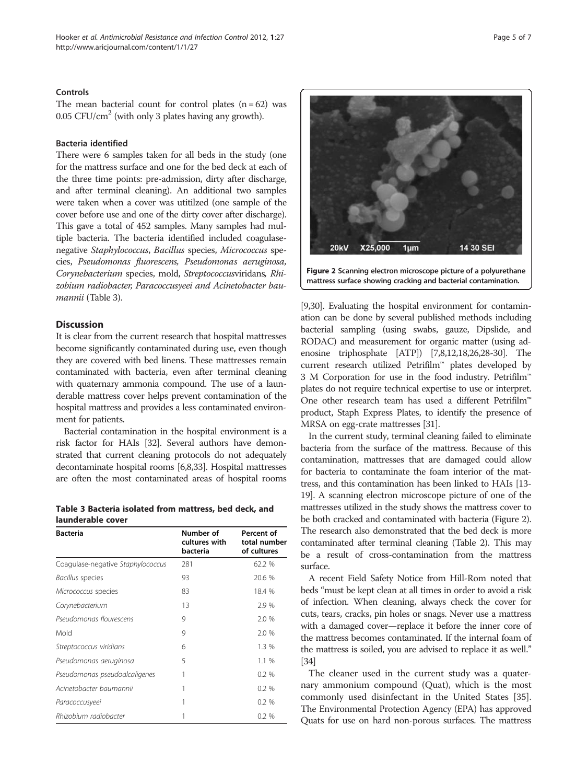#### Controls

The mean bacterial count for control plates  $(n = 62)$  was 0.05 CFU/cm<sup>2</sup> (with only 3 plates having any growth).

#### Bacteria identified

There were 6 samples taken for all beds in the study (one for the mattress surface and one for the bed deck at each of the three time points: pre-admission, dirty after discharge, and after terminal cleaning). An additional two samples were taken when a cover was utitilzed (one sample of the cover before use and one of the dirty cover after discharge). This gave a total of 452 samples. Many samples had multiple bacteria. The bacteria identified included coagulasenegative Staphylococcus, Bacillus species, Micrococcus species, Pseudomonas fluorescens, Pseudomonas aeruginosa, Corynebacterium species, mold, Streptococcusviridans, Rhizobium radiobacter, Paracoccusyeei and Acinetobacter baumannii (Table 3).

#### **Discussion**

It is clear from the current research that hospital mattresses become significantly contaminated during use, even though they are covered with bed linens. These mattresses remain contaminated with bacteria, even after terminal cleaning with quaternary ammonia compound. The use of a launderable mattress cover helps prevent contamination of the hospital mattress and provides a less contaminated environment for patients.

Bacterial contamination in the hospital environment is a risk factor for HAIs [\[32\]](#page-6-0). Several authors have demonstrated that current cleaning protocols do not adequately decontaminate hospital rooms [[6,8](#page-5-0)[,33](#page-6-0)]. Hospital mattresses are often the most contaminated areas of hospital rooms

Table 3 Bacteria isolated from mattress, bed deck, and launderable cover

| <b>Bacteria</b>                   | Number of<br>cultures with<br>bacteria | Percent of<br>total number<br>of cultures |
|-----------------------------------|----------------------------------------|-------------------------------------------|
| Coagulase-negative Staphylococcus | 281                                    | 62.2 %                                    |
| Bacillus species                  | 93                                     | 20.6 %                                    |
| Micrococcus species               | 83                                     | 18.4 %                                    |
| Corynebacterium                   | 13                                     | 2.9%                                      |
| Pseudomonas flourescens           | 9                                      | 2.0 %                                     |
| Mold                              | 9                                      | 2.0%                                      |
| Streptococcus viridians           | 6                                      | $1.3\%$                                   |
| Pseudomonas aeruginosa            | 5                                      | 1.1%                                      |
| Pseudomonas pseudoalcaligenes     | 1                                      | 0.2%                                      |
| Acinetobacter baumannii           |                                        | 0.2%                                      |
| Paracoccusyeei                    | 1                                      | 0.2%                                      |
| Rhizobium radiobacter             |                                        | 0.2%                                      |



[[9](#page-5-0)[,30\]](#page-6-0). Evaluating the hospital environment for contamination can be done by several published methods including bacterial sampling (using swabs, gauze, Dipslide, and RODAC) and measurement for organic matter (using adenosine triphosphate [ATP]) [\[7,8,12,18,](#page-5-0)[26,28](#page-6-0)-[30](#page-6-0)]. The current research utilized Petrifilm™ plates developed by 3 M Corporation for use in the food industry. Petrifilm™ plates do not require technical expertise to use or interpret. One other research team has used a different Petrifilm™ product, Staph Express Plates, to identify the presence of MRSA on egg-crate mattresses [\[31\]](#page-6-0).

In the current study, terminal cleaning failed to eliminate bacteria from the surface of the mattress. Because of this contamination, mattresses that are damaged could allow for bacteria to contaminate the foam interior of the mattress, and this contamination has been linked to HAIs [[13-](#page-5-0) [19](#page-5-0)]. A scanning electron microscope picture of one of the mattresses utilized in the study shows the mattress cover to be both cracked and contaminated with bacteria (Figure 2). The research also demonstrated that the bed deck is more contaminated after terminal cleaning (Table [2](#page-3-0)). This may be a result of cross-contamination from the mattress surface.

A recent Field Safety Notice from Hill-Rom noted that beds "must be kept clean at all times in order to avoid a risk of infection. When cleaning, always check the cover for cuts, tears, cracks, pin holes or snags. Never use a mattress with a damaged cover—replace it before the inner core of the mattress becomes contaminated. If the internal foam of the mattress is soiled, you are advised to replace it as well." [[34](#page-6-0)]

The cleaner used in the current study was a quaternary ammonium compound (Quat), which is the most commonly used disinfectant in the United States [\[35](#page-6-0)]. The Environmental Protection Agency (EPA) has approved Quats for use on hard non-porous surfaces. The mattress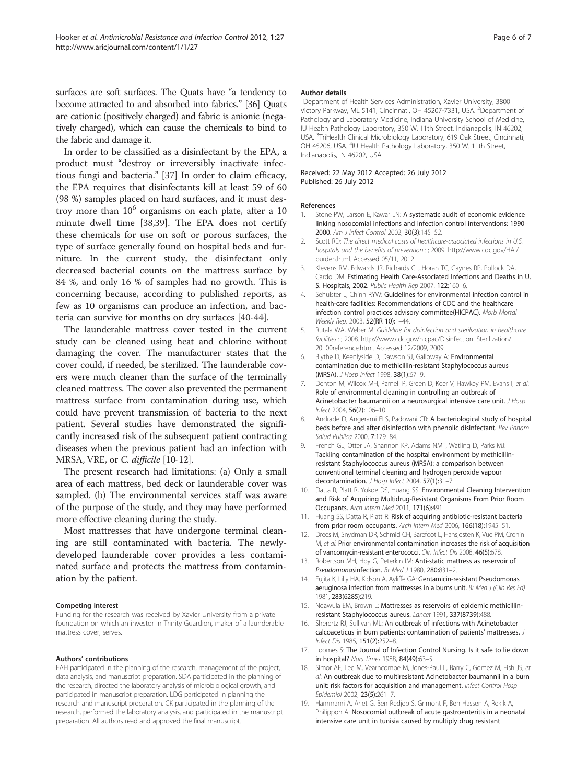<span id="page-5-0"></span>surfaces are soft surfaces. The Quats have "a tendency to become attracted to and absorbed into fabrics." [\[36\]](#page-6-0) Quats are cationic (positively charged) and fabric is anionic (negatively charged), which can cause the chemicals to bind to the fabric and damage it.

In order to be classified as a disinfectant by the EPA, a product must "destroy or irreversibly inactivate infectious fungi and bacteria." [\[37\]](#page-6-0) In order to claim efficacy, the EPA requires that disinfectants kill at least 59 of 60 (98 %) samples placed on hard surfaces, and it must destroy more than  $10^6$  organisms on each plate, after a 10 minute dwell time [\[38,39\]](#page-6-0). The EPA does not certify these chemicals for use on soft or porous surfaces, the type of surface generally found on hospital beds and furniture. In the current study, the disinfectant only decreased bacterial counts on the mattress surface by 84 %, and only 16 % of samples had no growth. This is concerning because, according to published reports, as few as 10 organisms can produce an infection, and bacteria can survive for months on dry surfaces [[40-44](#page-6-0)].

The launderable mattress cover tested in the current study can be cleaned using heat and chlorine without damaging the cover. The manufacturer states that the cover could, if needed, be sterilized. The launderable covers were much cleaner than the surface of the terminally cleaned mattress. The cover also prevented the permanent mattress surface from contamination during use, which could have prevent transmission of bacteria to the next patient. Several studies have demonstrated the significantly increased risk of the subsequent patient contracting diseases when the previous patient had an infection with MRSA, VRE, or C. difficile [10-12].

The present research had limitations: (a) Only a small area of each mattress, bed deck or launderable cover was sampled. (b) The environmental services staff was aware of the purpose of the study, and they may have performed more effective cleaning during the study.

Most mattresses that have undergone terminal cleaning are still contaminated with bacteria. The newlydeveloped launderable cover provides a less contaminated surface and protects the mattress from contamination by the patient.

#### Competing interest

Funding for the research was received by Xavier University from a private foundation on which an investor in Trinity Guardion, maker of a launderable mattress cover, serves.

#### Authors' contributions

EAH participated in the planning of the research, management of the project, data analysis, and manuscript preparation. SDA participated in the planning of the research, directed the laboratory analysis of microbiological growth, and participated in manuscript preparation. LDG participated in planning the research and manuscript preparation. CK participated in the planning of the research, performed the laboratory analysis, and participated in the manuscript preparation. All authors read and approved the final manuscript.

#### Author details

<sup>1</sup>Department of Health Services Administration, Xavier University, 3800 Victory Parkway, ML 5141, Cincinnati, OH 45207-7331, USA. <sup>2</sup>Department of Pathology and Laboratory Medicine, Indiana University School of Medicine, IU Health Pathology Laboratory, 350 W. 11th Street, Indianapolis, IN 46202, USA. <sup>3</sup>TriHealth Clinical Microbiology Laboratory, 619 Oak Street, Cincinnati, OH 45206, USA. <sup>4</sup>IU Health Pathology Laboratory, 350 W. 11th Street, Indianapolis, IN 46202, USA.

#### Received: 22 May 2012 Accepted: 26 July 2012 Published: 26 July 2012

#### References

- 1. Stone PW, Larson E, Kawar LN: A systematic audit of economic evidence linking nosocomial infections and infection control interventions: 1990– 2000. Am J Infect Control 2002, 30(3):145–52.
- 2. Scott RD: The direct medical costs of healthcare-associated infections in U.S. hospitals and the benefits of prevention.: ; 2009. [http://www.cdc.gov/HAI/](http://www.cdc.gov/HAI/burden.html) [burden.html.](http://www.cdc.gov/HAI/burden.html) Accessed 05/11, 2012.
- 3. Klevens RM, Edwards JR, Richards CL, Horan TC, Gaynes RP, Pollock DA, Cardo DM: Estimating Health Care-Associated Infections and Deaths in U. S. Hospitals, 2002. Public Health Rep 2007, 122:160–6.
- 4. Sehulster L, Chinn RYW: Guidelines for environmental infection control in health-care facilities: Recommendations of CDC and the healthcare infection control practices advisory committee(HICPAC). Morb Mortal Weekly Rep. 2003, 52(RR 10):1–44.
- 5. Rutala WA, Weber M: Guideline for disinfection and sterilization in healthcare facilities.: ; 2008. [http://www.cdc.gov/hicpac/Disinfection\\_Sterilization/](http://www.cdc.gov/hicpac/Disinfection_Sterilization/20_00reference.html) [20\\_00reference.html.](http://www.cdc.gov/hicpac/Disinfection_Sterilization/20_00reference.html) Accessed 12/2009, 2009.
- 6. Blythe D, Keenlyside D, Dawson SJ, Galloway A: Environmental contamination due to methicillin-resistant Staphylococcus aureus (MRSA). J Hosp Infect 1998, 38(1):67–9.
- 7. Denton M, Wilcox MH, Parnell P, Green D, Keer V, Hawkey PM, Evans I, et al: Role of environmental cleaning in controlling an outbreak of Acinetobacter baumannii on a neurosurgical intensive care unit. J Hosp Infect 2004, 56(2):106–10.
- 8. Andrade D, Angerami ELS, Padovani CR: A bacteriological study of hospital beds before and after disinfection with phenolic disinfectant. Rev Panam Salud Publica 2000, 7:179–84.
- 9. French GL, Otter JA, Shannon KP, Adams NMT, Watling D, Parks MJ: Tackling contamination of the hospital environment by methicillinresistant Staphylococcus aureus (MRSA): a comparison between conventional terminal cleaning and hydrogen peroxide vapour decontamination. J Hosp Infect 2004, 57(1):31-7.
- 10. Datta R, Platt R, Yokoe DS, Huang SS: Environmental Cleaning Intervention and Risk of Acquiring Multidrug-Resistant Organisms From Prior Room Occupants. Arch Intern Med 2011, 171(6):491.
- 11. Huang SS, Datta R, Platt R: Risk of acquiring antibiotic-resistant bacteria from prior room occupants. Arch Intern Med 2006, 166(18):1945-51.
- 12. Drees M, Snydman DR, Schmid CH, Barefoot L, Hansjosten K, Vue PM, Cronin M, et al: Prior environmental contamination increases the risk of acquisition of vancomycin-resistant enterococci. Clin Infect Dis 2008, 46(5):678.
- 13. Robertson MH, Hoy G, Peterkin IM: Anti-static mattress as reservoir of Pseudomonasinfection. Br Med J 1980, 280:831-2.
- 14. Fujita K, Lilly HA, Kidson A, Ayliffe GA: Gentamicin-resistant Pseudomonas aeruginosa infection from mattresses in a burns unit. Br Med J (Clin Res Ed) 1981, 283(6285):219.
- 15. Ndawula EM, Brown L: Mattresses as reservoirs of epidemic methicillinresistant Staphylococcus aureus. Lancet 1991, 337(8739):488.
- 16. Sherertz RJ, Sullivan ML: An outbreak of infections with Acinetobacter calcoaceticus in burn patients: contamination of patients' mattresses. J Infect Dis 1985, 151(2):252–8.
- 17. Loomes S: The Journal of Infection Control Nursing. Is it safe to lie down in hospital? Nurs Times 1988, 84(49):63–5.
- 18. Simor AE, Lee M, Vearncombe M, Jones-Paul L, Barry C, Gomez M, Fish JS, et al: An outbreak due to multiresistant Acinetobacter baumannii in a burn unit: risk factors for acquisition and management. Infect Control Hosp Epidemiol 2002, 23(5):261–7.
- 19. Hammami A, Arlet G, Ben Redjeb S, Grimont F, Ben Hassen A, Rekik A, Philippon A: Nosocomial outbreak of acute gastroenteritis in a neonatal intensive care unit in tunisia caused by multiply drug resistant